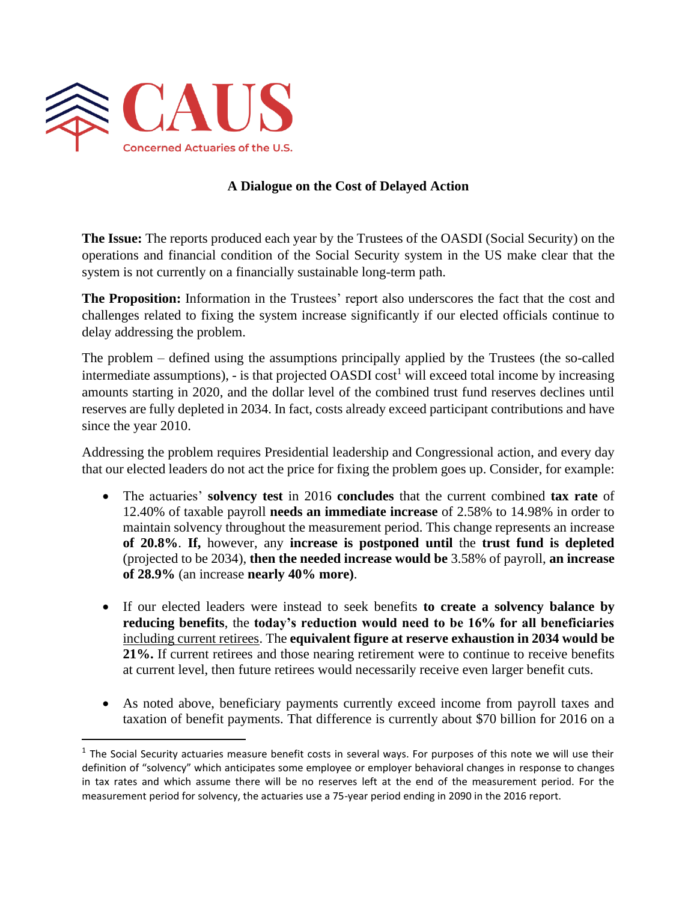

## **A Dialogue on the Cost of Delayed Action**

**The Issue:** The reports produced each year by the Trustees of the OASDI (Social Security) on the operations and financial condition of the Social Security system in the US make clear that the system is not currently on a financially sustainable long-term path.

**The Proposition:** Information in the Trustees' report also underscores the fact that the cost and challenges related to fixing the system increase significantly if our elected officials continue to delay addressing the problem.

The problem – defined using the assumptions principally applied by the Trustees (the so-called intermediate assumptions), - is that projected OASDI cost<sup>1</sup> will exceed total income by increasing amounts starting in 2020, and the dollar level of the combined trust fund reserves declines until reserves are fully depleted in 2034. In fact, costs already exceed participant contributions and have since the year 2010.

Addressing the problem requires Presidential leadership and Congressional action, and every day that our elected leaders do not act the price for fixing the problem goes up. Consider, for example:

- The actuaries' **solvency test** in 2016 **concludes** that the current combined **tax rate** of 12.40% of taxable payroll **needs an immediate increase** of 2.58% to 14.98% in order to maintain solvency throughout the measurement period. This change represents an increase **of 20.8%**. **If,** however, any **increase is postponed until** the **trust fund is depleted** (projected to be 2034), **then the needed increase would be** 3.58% of payroll, **an increase of 28.9%** (an increase **nearly 40% more)**.
- If our elected leaders were instead to seek benefits **to create a solvency balance by reducing benefits**, the **today's reduction would need to be 16% for all beneficiaries** including current retirees. The **equivalent figure at reserve exhaustion in 2034 would be 21%.** If current retirees and those nearing retirement were to continue to receive benefits at current level, then future retirees would necessarily receive even larger benefit cuts.
- As noted above, beneficiary payments currently exceed income from payroll taxes and taxation of benefit payments. That difference is currently about \$70 billion for 2016 on a

 $<sup>1</sup>$  The Social Security actuaries measure benefit costs in several ways. For purposes of this note we will use their</sup> definition of "solvency" which anticipates some employee or employer behavioral changes in response to changes in tax rates and which assume there will be no reserves left at the end of the measurement period. For the measurement period for solvency, the actuaries use a 75-year period ending in 2090 in the 2016 report.